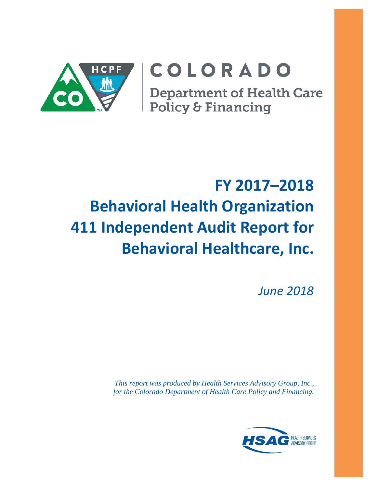

# COLORADO

**Department of Health Care** Policy & Financing

# **FY 2017–2018 Behavioral Health Organization 411 Independent Audit Report for Behavioral Healthcare, Inc.**

*June 2018*

*This report was produced by Health Services Advisory Group, Inc., for the Colorado Department of Health Care Policy and Financing.*

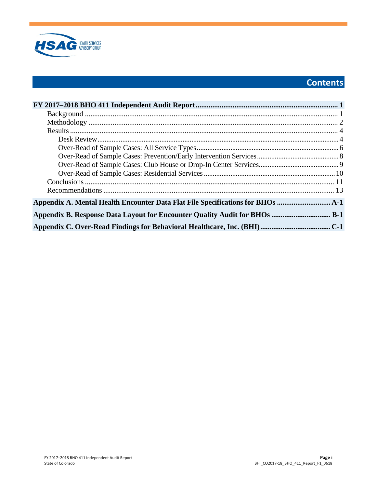

# **Contents**

| Appendix A. Mental Health Encounter Data Flat File Specifications for BHOs |  |
|----------------------------------------------------------------------------|--|
| Appendix B. Response Data Layout for Encounter Quality Audit for BHOs  B-1 |  |
|                                                                            |  |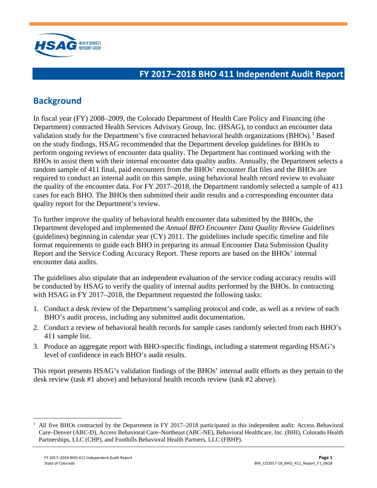

## <span id="page-2-0"></span>**FY 2017–2018 BHO 411 Independent Audit Report**

# <span id="page-2-1"></span>**Background**

In fiscal year (FY) 2008–2009, the Colorado Department of Health Care Policy and Financing (the Department) contracted Health Services Advisory Group, Inc. (HSAG), to conduct an encounter data validation study for the Department's five contracted behavioral health organizations  $(BHOs)$ .<sup>[1](#page-2-2)</sup> Based on the study findings, HSAG recommended that the Department develop guidelines for BHOs to perform ongoing reviews of encounter data quality. The Department has continued working with the BHOs to assist them with their internal encounter data quality audits. Annually, the Department selects a random sample of 411 final, paid encounters from the BHOs' encounter flat files and the BHOs are required to conduct an internal audit on this sample, using behavioral health record review to evaluate the quality of the encounter data. For FY 2017–2018, the Department randomly selected a sample of 411 cases for each BHO. The BHOs then submitted their audit results and a corresponding encounter data quality report for the Department's review.

To further improve the quality of behavioral health encounter data submitted by the BHOs, the Department developed and implemented the *Annual BHO Encounter Data Quality Review Guidelines* (guidelines) beginning in calendar year (CY) 2011. The guidelines include specific timeline and file format requirements to guide each BHO in preparing its annual Encounter Data Submission Quality Report and the Service Coding Accuracy Report. These reports are based on the BHOs' internal encounter data audits.

The guidelines also stipulate that an independent evaluation of the service coding accuracy results will be conducted by HSAG to verify the quality of internal audits performed by the BHOs. In contracting with HSAG in FY 2017–2018, the Department requested the following tasks:

- 1. Conduct a desk review of the Department's sampling protocol and code, as well as a review of each BHO's audit process, including any submitted audit documentation.
- 2. Conduct a review of behavioral health records for sample cases randomly selected from each BHO's 411 sample list.
- 3. Produce an aggregate report with BHO-specific findings, including a statement regarding HSAG's level of confidence in each BHO's audit results.

This report presents HSAG's validation findings of the BHOs' internal audit efforts as they pertain to the desk review (task #1 above) and behavioral health records review (task #2 above).

<span id="page-2-2"></span> $1$  All five BHOs contracted by the Department in FY 2017–2018 participated in this independent audit: Access Behavioral Care–Denver (ABC-D), Access Behavioral Care–Northeast (ABC-NE), Behavioral Healthcare, Inc. (BHI), Colorado Health Partnerships, LLC (CHP), and Foothills Behavioral Health Partners, LLC (FBHP).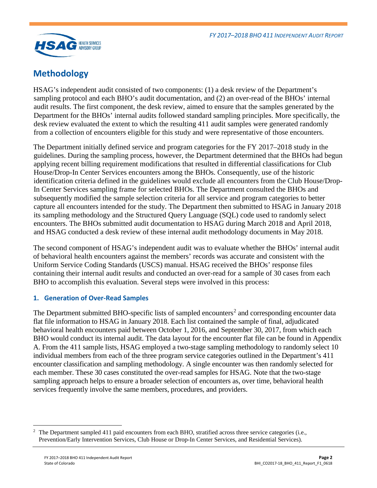

## <span id="page-3-0"></span>**Methodology**

HSAG's independent audit consisted of two components: (1) a desk review of the Department's sampling protocol and each BHO's audit documentation, and (2) an over-read of the BHOs' internal audit results. The first component, the desk review, aimed to ensure that the samples generated by the Department for the BHOs' internal audits followed standard sampling principles. More specifically, the desk review evaluated the extent to which the resulting 411 audit samples were generated randomly from a collection of encounters eligible for this study and were representative of those encounters.

The Department initially defined service and program categories for the FY 2017–2018 study in the guidelines. During the sampling process, however, the Department determined that the BHOs had begun applying recent billing requirement modifications that resulted in differential classifications for Club House/Drop-In Center Services encounters among the BHOs. Consequently, use of the historic identification criteria defined in the guidelines would exclude all encounters from the Club House/Drop-In Center Services sampling frame for selected BHOs. The Department consulted the BHOs and subsequently modified the sample selection criteria for all service and program categories to better capture all encounters intended for the study. The Department then submitted to HSAG in January 2018 its sampling methodology and the Structured Query Language (SQL) code used to randomly select encounters. The BHOs submitted audit documentation to HSAG during March 2018 and April 2018, and HSAG conducted a desk review of these internal audit methodology documents in May 2018.

The second component of HSAG's independent audit was to evaluate whether the BHOs' internal audit of behavioral health encounters against the members' records was accurate and consistent with the Uniform Service Coding Standards (USCS) manual. HSAG received the BHOs' response files containing their internal audit results and conducted an over-read for a sample of 30 cases from each BHO to accomplish this evaluation. Several steps were involved in this process:

#### **1. Generation of Over-Read Samples**

The Department submitted BHO-specific lists of sampled encounters<sup>[2](#page-3-1)</sup> and corresponding encounter data flat file information to HSAG in January 2018. Each list contained the sample of final, adjudicated behavioral health encounters paid between October 1, 2016, and September 30, 2017, from which each BHO would conduct its internal audit. The data layout for the encounter flat file can be found in Appendix A. From the 411 sample lists, HSAG employed a two-stage sampling methodology to randomly select 10 individual members from each of the three program service categories outlined in the Department's 411 encounter classification and sampling methodology. A single encounter was then randomly selected for each member. These 30 cases constituted the over-read samples for HSAG. Note that the two-stage sampling approach helps to ensure a broader selection of encounters as, over time, behavioral health services frequently involve the same members, procedures, and providers.

<span id="page-3-1"></span> $\overline{a}$ 2 The Department sampled 411 paid encounters from each BHO, stratified across three service categories (i.e., Prevention/Early Intervention Services, Club House or Drop-In Center Services, and Residential Services).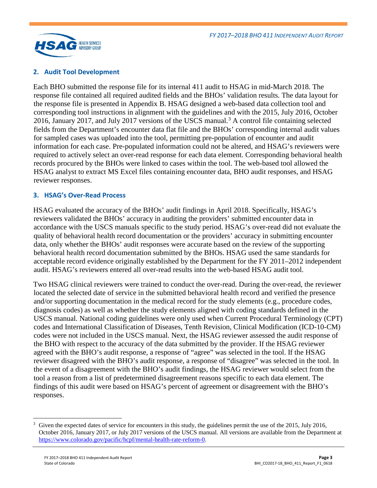

#### **2. Audit Tool Development**

Each BHO submitted the response file for its internal 411 audit to HSAG in mid-March 2018. The response file contained all required audited fields and the BHOs' validation results. The data layout for the response file is presented in Appendix B. HSAG designed a web-based data collection tool and corresponding tool instructions in alignment with the guidelines and with the 2015, July 2016, October 2016, January 2017, and July 2017 versions of the USCS manual.<sup>[3](#page-4-0)</sup> A control file containing selected fields from the Department's encounter data flat file and the BHOs' corresponding internal audit values for sampled cases was uploaded into the tool, permitting pre-population of encounter and audit information for each case. Pre-populated information could not be altered, and HSAG's reviewers were required to actively select an over-read response for each data element. Corresponding behavioral health records procured by the BHOs were linked to cases within the tool. The web-based tool allowed the HSAG analyst to extract MS Excel files containing encounter data, BHO audit responses, and HSAG reviewer responses.

#### **3. HSAG's Over-Read Process**

HSAG evaluated the accuracy of the BHOs' audit findings in April 2018. Specifically, HSAG's reviewers validated the BHOs' accuracy in auditing the providers' submitted encounter data in accordance with the USCS manuals specific to the study period. HSAG's over-read did not evaluate the quality of behavioral health record documentation or the providers' accuracy in submitting encounter data, only whether the BHOs' audit responses were accurate based on the review of the supporting behavioral health record documentation submitted by the BHOs. HSAG used the same standards for acceptable record evidence originally established by the Department for the FY 2011–2012 independent audit. HSAG's reviewers entered all over-read results into the web-based HSAG audit tool.

Two HSAG clinical reviewers were trained to conduct the over-read. During the over-read, the reviewer located the selected date of service in the submitted behavioral health record and verified the presence and/or supporting documentation in the medical record for the study elements (e.g., procedure codes, diagnosis codes) as well as whether the study elements aligned with coding standards defined in the USCS manual. National coding guidelines were only used when Current Procedural Terminology (CPT) codes and International Classification of Diseases, Tenth Revision, Clinical Modification (ICD-10-CM) codes were not included in the USCS manual. Next, the HSAG reviewer assessed the audit response of the BHO with respect to the accuracy of the data submitted by the provider. If the HSAG reviewer agreed with the BHO's audit response, a response of "agree" was selected in the tool. If the HSAG reviewer disagreed with the BHO's audit response, a response of "disagree" was selected in the tool. In the event of a disagreement with the BHO's audit findings, the HSAG reviewer would select from the tool a reason from a list of predetermined disagreement reasons specific to each data element. The findings of this audit were based on HSAG's percent of agreement or disagreement with the BHO's responses.

<span id="page-4-0"></span><sup>&</sup>lt;sup>3</sup> Given the expected dates of service for encounters in this study, the guidelines permit the use of the 2015, July 2016, October 2016, January 2017, or July 2017 versions of the USCS manual. All versions are available from the Department at [https://www.colorado.gov/pacific/hcpf/mental-health-rate-reform-0.](https://www.colorado.gov/pacific/hcpf/mental-health-rate-reform-0)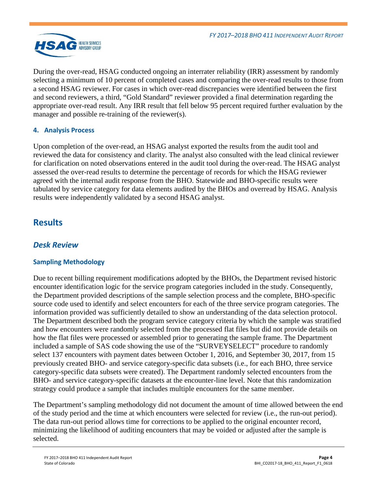

During the over-read, HSAG conducted ongoing an interrater reliability (IRR) assessment by randomly selecting a minimum of 10 percent of completed cases and comparing the over-read results to those from a second HSAG reviewer. For cases in which over-read discrepancies were identified between the first and second reviewers, a third, "Gold Standard" reviewer provided a final determination regarding the appropriate over-read result. Any IRR result that fell below 95 percent required further evaluation by the manager and possible re-training of the reviewer(s).

## **4. Analysis Process**

Upon completion of the over-read, an HSAG analyst exported the results from the audit tool and reviewed the data for consistency and clarity. The analyst also consulted with the lead clinical reviewer for clarification on noted observations entered in the audit tool during the over-read. The HSAG analyst assessed the over-read results to determine the percentage of records for which the HSAG reviewer agreed with the internal audit response from the BHO. Statewide and BHO-specific results were tabulated by service category for data elements audited by the BHOs and overread by HSAG. Analysis results were independently validated by a second HSAG analyst.

## <span id="page-5-0"></span>**Results**

## <span id="page-5-1"></span>*Desk Review*

## **Sampling Methodology**

Due to recent billing requirement modifications adopted by the BHOs, the Department revised historic encounter identification logic for the service program categories included in the study. Consequently, the Department provided descriptions of the sample selection process and the complete, BHO-specific source code used to identify and select encounters for each of the three service program categories. The information provided was sufficiently detailed to show an understanding of the data selection protocol. The Department described both the program service category criteria by which the sample was stratified and how encounters were randomly selected from the processed flat files but did not provide details on how the flat files were processed or assembled prior to generating the sample frame. The Department included a sample of SAS code showing the use of the "SURVEYSELECT" procedure to randomly select 137 encounters with payment dates between October 1, 2016, and September 30, 2017, from 15 previously created BHO- and service category-specific data subsets (i.e., for each BHO, three service category-specific data subsets were created). The Department randomly selected encounters from the BHO- and service category-specific datasets at the encounter-line level. Note that this randomization strategy could produce a sample that includes multiple encounters for the same member.

The Department's sampling methodology did not document the amount of time allowed between the end of the study period and the time at which encounters were selected for review (i.e., the run-out period). The data run-out period allows time for corrections to be applied to the original encounter record, minimizing the likelihood of auditing encounters that may be voided or adjusted after the sample is selected.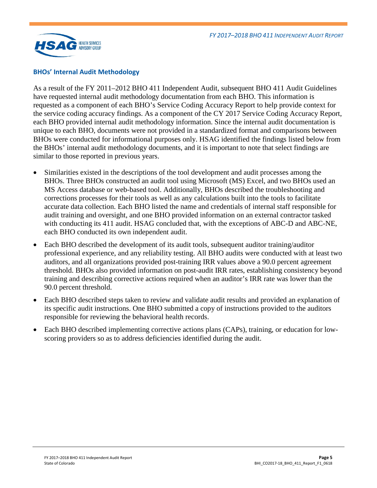

#### **BHOs' Internal Audit Methodology**

As a result of the FY 2011–2012 BHO 411 Independent Audit, subsequent BHO 411 Audit Guidelines have requested internal audit methodology documentation from each BHO. This information is requested as a component of each BHO's Service Coding Accuracy Report to help provide context for the service coding accuracy findings. As a component of the CY 2017 Service Coding Accuracy Report, each BHO provided internal audit methodology information. Since the internal audit documentation is unique to each BHO, documents were not provided in a standardized format and comparisons between BHOs were conducted for informational purposes only. HSAG identified the findings listed below from the BHOs' internal audit methodology documents, and it is important to note that select findings are similar to those reported in previous years.

- Similarities existed in the descriptions of the tool development and audit processes among the BHOs. Three BHOs constructed an audit tool using Microsoft (MS) Excel, and two BHOs used an MS Access database or web-based tool. Additionally, BHOs described the troubleshooting and corrections processes for their tools as well as any calculations built into the tools to facilitate accurate data collection. Each BHO listed the name and credentials of internal staff responsible for audit training and oversight, and one BHO provided information on an external contractor tasked with conducting its 411 audit. HSAG concluded that, with the exceptions of ABC-D and ABC-NE, each BHO conducted its own independent audit.
- Each BHO described the development of its audit tools, subsequent auditor training/auditor professional experience, and any reliability testing. All BHO audits were conducted with at least two auditors, and all organizations provided post-training IRR values above a 90.0 percent agreement threshold. BHOs also provided information on post-audit IRR rates, establishing consistency beyond training and describing corrective actions required when an auditor's IRR rate was lower than the 90.0 percent threshold.
- Each BHO described steps taken to review and validate audit results and provided an explanation of its specific audit instructions. One BHO submitted a copy of instructions provided to the auditors responsible for reviewing the behavioral health records.
- Each BHO described implementing corrective actions plans (CAPs), training, or education for lowscoring providers so as to address deficiencies identified during the audit.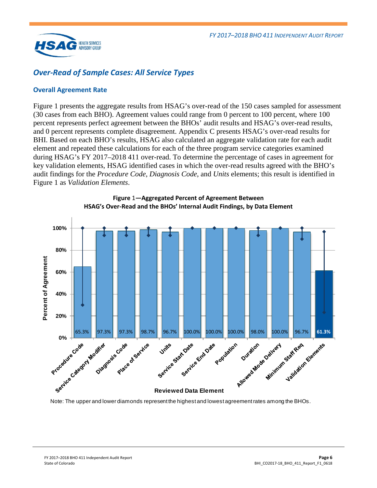

## <span id="page-7-0"></span>*Over-Read of Sample Cases: All Service Types*

#### **Overall Agreement Rate**

[Figure 1](#page-7-1) presents the aggregate results from HSAG's over-read of the 150 cases sampled for assessment (30 cases from each BHO). Agreement values could range from 0 percent to 100 percent, where 100 percent represents perfect agreement between the BHOs' audit results and HSAG's over-read results, and 0 percent represents complete disagreement. Appendix C presents HSAG's over-read results for BHI. Based on each BHO's results, HSAG also calculated an aggregate validation rate for each audit element and repeated these calculations for each of the three program service categories examined during HSAG's FY 2017–2018 411 over-read. To determine the percentage of cases in agreement for key validation elements, HSAG identified cases in which the over-read results agreed with the BHO's audit findings for the *Procedure Code*, *Diagnosis Code*, and *Units* elements; this result is identified in [Figure 1](#page-7-1) as *Validation Elements*.

<span id="page-7-1"></span>



Note: The upper and lower diamonds represent the highest and lowest agreement rates among the BHOs.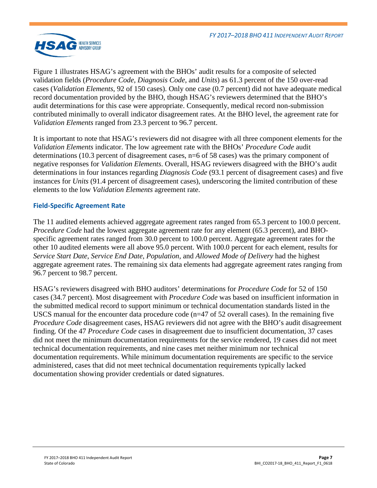

[Figure 1](#page-7-1) illustrates HSAG's agreement with the BHOs' audit results for a composite of selected validation fields (*Procedure Code*, *Diagnosis Code*, and *Units*) as 61.3 percent of the 150 over-read cases (*Validation Elements*, 92 of 150 cases). Only one case (0.7 percent) did not have adequate medical record documentation provided by the BHO, though HSAG's reviewers determined that the BHO's audit determinations for this case were appropriate. Consequently, medical record non-submission contributed minimally to overall indicator disagreement rates. At the BHO level, the agreement rate for *Validation Elements* ranged from 23.3 percent to 96.7 percent.

It is important to note that HSAG's reviewers did not disagree with all three component elements for the *Validation Elements* indicator. The low agreement rate with the BHOs' *Procedure Code* audit determinations (10.3 percent of disagreement cases, n=6 of 58 cases) was the primary component of negative responses for *Validation Elements*. Overall, HSAG reviewers disagreed with the BHO's audit determinations in four instances regarding *Diagnosis Code* (93.1 percent of disagreement cases) and five instances for *Units* (91.4 percent of disagreement cases), underscoring the limited contribution of these elements to the low *Validation Elements* agreement rate.

#### **Field-Specific Agreement Rate**

The 11 audited elements achieved aggregate agreement rates ranged from 65.3 percent to 100.0 percent. *Procedure Code* had the lowest aggregate agreement rate for any element (65.3 percent), and BHOspecific agreement rates ranged from 30.0 percent to 100.0 percent. Aggregate agreement rates for the other 10 audited elements were all above 95.0 percent. With 100.0 percent for each element, results for *Service Start Date*, *Service End Date*, *Population,* and *Allowed Mode of Delivery* had the highest aggregate agreement rates. The remaining six data elements had aggregate agreement rates ranging from 96.7 percent to 98.7 percent.

HSAG's reviewers disagreed with BHO auditors' determinations for *Procedure Code* for 52 of 150 cases (34.7 percent). Most disagreement with *Procedure Code* was based on insufficient information in the submitted medical record to support minimum or technical documentation standards listed in the USCS manual for the encounter data procedure code ( $n=47$  of 52 overall cases). In the remaining five *Procedure Code* disagreement cases, HSAG reviewers did not agree with the BHO's audit disagreement finding. Of the 47 *Procedure Code* cases in disagreement due to insufficient documentation, 37 cases did not meet the minimum documentation requirements for the service rendered, 19 cases did not meet technical documentation requirements, and nine cases met neither minimum nor technical documentation requirements. While minimum documentation requirements are specific to the service administered, cases that did not meet technical documentation requirements typically lacked documentation showing provider credentials or dated signatures.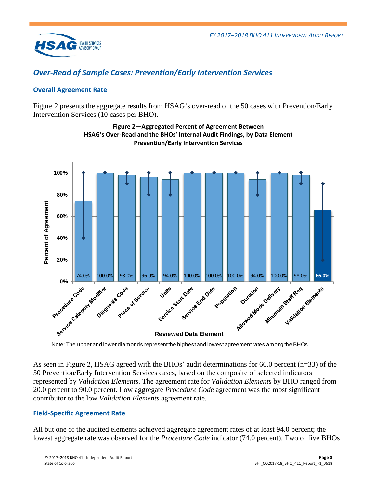

## <span id="page-9-0"></span>*Over-Read of Sample Cases: Prevention/Early Intervention Services*

## **Overall Agreement Rate**

<span id="page-9-1"></span>[Figure 2](#page-9-1) presents the aggregate results from HSAG's over-read of the 50 cases with Prevention/Early Intervention Services (10 cases per BHO).



**Figure 2—Aggregated Percent of Agreement Between HSAG's Over-Read and the BHOs' Internal Audit Findings, by Data Element Prevention/Early Intervention Services**

Note: The upper and lower diamonds represent the highest and lowest agreement rates among the BHOs.

As seen in [Figure 2,](#page-9-1) HSAG agreed with the BHOs' audit determinations for 66.0 percent (n=33) of the 50 Prevention/Early Intervention Services cases, based on the composite of selected indicators represented by *Validation Elements*. The agreement rate for *Validation Elements* by BHO ranged from 20.0 percent to 90.0 percent. Low aggregate *Procedure Code* agreement was the most significant contributor to the low *Validation Elements* agreement rate.

## **Field-Specific Agreement Rate**

All but one of the audited elements achieved aggregate agreement rates of at least 94.0 percent; the lowest aggregate rate was observed for the *Procedure Code* indicator (74.0 percent). Two of five BHOs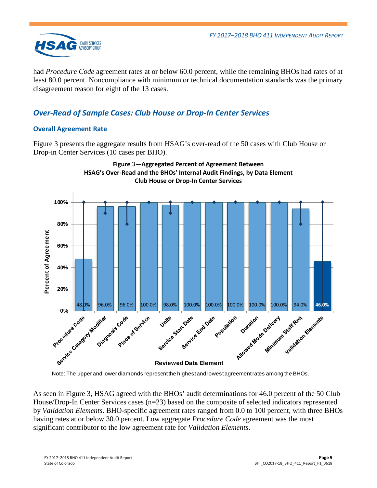

had *Procedure Code* agreement rates at or below 60.0 percent, while the remaining BHOs had rates of at least 80.0 percent. Noncompliance with minimum or technical documentation standards was the primary disagreement reason for eight of the 13 cases.

## <span id="page-10-0"></span>*Over-Read of Sample Cases: Club House or Drop-In Center Services*

## **Overall Agreement Rate**

[Figure 3](#page-10-1) presents the aggregate results from HSAG's over-read of the 50 cases with Club House or Drop-in Center Services (10 cases per BHO).

<span id="page-10-1"></span>

Note: The upper and lower diamonds represent the highest and lowest agreement rates among the BHOs.

As seen in [Figure 3,](#page-10-1) HSAG agreed with the BHOs' audit determinations for 46.0 percent of the 50 Club House/Drop-In Center Services cases (n=23) based on the composite of selected indicators represented by *Validation Elements*. BHO-specific agreement rates ranged from 0.0 to 100 percent, with three BHOs having rates at or below 30.0 percent. Low aggregate *Procedure Code* agreement was the most significant contributor to the low agreement rate for *Validation Elements*.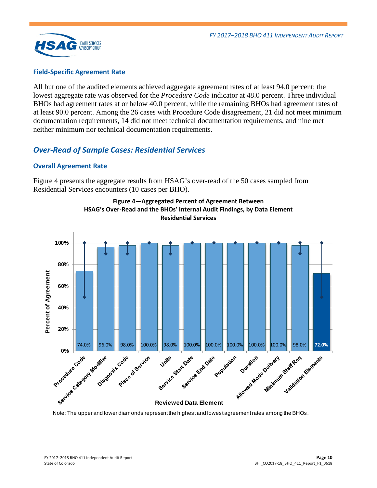

#### **Field-Specific Agreement Rate**

All but one of the audited elements achieved aggregate agreement rates of at least 94.0 percent; the lowest aggregate rate was observed for the *Procedure Code* indicator at 48.0 percent. Three individual BHOs had agreement rates at or below 40.0 percent, while the remaining BHOs had agreement rates of at least 90.0 percent. Among the 26 cases with Procedure Code disagreement, 21 did not meet minimum documentation requirements, 14 did not meet technical documentation requirements, and nine met neither minimum nor technical documentation requirements.

## <span id="page-11-0"></span>*Over-Read of Sample Cases: Residential Services*

#### **Overall Agreement Rate**

<span id="page-11-1"></span>[Figure 4](#page-11-1) presents the aggregate results from HSAG's over-read of the 50 cases sampled from Residential Services encounters (10 cases per BHO).





Note: The upper and lower diamonds represent the highest and lowest agreement rates among the BHOs.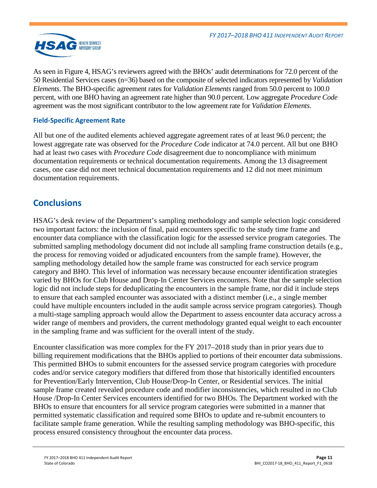

As seen in [Figure 4,](#page-11-1) HSAG's reviewers agreed with the BHOs' audit determinations for 72.0 percent of the 50 Residential Services cases (n=36) based on the composite of selected indicators represented by *Validation Elements*. The BHO-specific agreement rates for *Validation Elements* ranged from 50.0 percent to 100.0 percent, with one BHO having an agreement rate higher than 90.0 percent. Low aggregate *Procedure Code* agreement was the most significant contributor to the low agreement rate for *Validation Elements*.

## **Field-Specific Agreement Rate**

All but one of the audited elements achieved aggregate agreement rates of at least 96.0 percent; the lowest aggregate rate was observed for the *Procedure Code* indicator at 74.0 percent. All but one BHO had at least two cases with *Procedure Code* disagreement due to noncompliance with minimum documentation requirements or technical documentation requirements. Among the 13 disagreement cases, one case did not meet technical documentation requirements and 12 did not meet minimum documentation requirements.

## <span id="page-12-0"></span>**Conclusions**

HSAG's desk review of the Department's sampling methodology and sample selection logic considered two important factors: the inclusion of final, paid encounters specific to the study time frame and encounter data compliance with the classification logic for the assessed service program categories. The submitted sampling methodology document did not include all sampling frame construction details (e.g., the process for removing voided or adjudicated encounters from the sample frame). However, the sampling methodology detailed how the sample frame was constructed for each service program category and BHO. This level of information was necessary because encounter identification strategies varied by BHOs for Club House and Drop-In Center Services encounters. Note that the sample selection logic did not include steps for deduplicating the encounters in the sample frame, nor did it include steps to ensure that each sampled encounter was associated with a distinct member (i.e., a single member could have multiple encounters included in the audit sample across service program categories). Though a multi-stage sampling approach would allow the Department to assess encounter data accuracy across a wider range of members and providers, the current methodology granted equal weight to each encounter in the sampling frame and was sufficient for the overall intent of the study.

Encounter classification was more complex for the FY 2017–2018 study than in prior years due to billing requirement modifications that the BHOs applied to portions of their encounter data submissions. This permitted BHOs to submit encounters for the assessed service program categories with procedure codes and/or service category modifiers that differed from those that historically identified encounters for Prevention/Early Intervention, Club House/Drop-In Center, or Residential services. The initial sample frame created revealed procedure code and modifier inconsistencies, which resulted in no Club House /Drop-In Center Services encounters identified for two BHOs. The Department worked with the BHOs to ensure that encounters for all service program categories were submitted in a manner that permitted systematic classification and required some BHOs to update and re-submit encounters to facilitate sample frame generation. While the resulting sampling methodology was BHO-specific, this process ensured consistency throughout the encounter data process.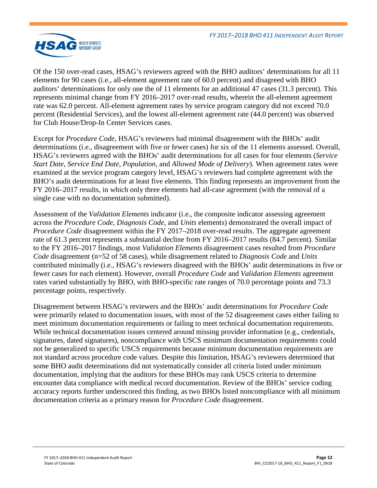

Of the 150 over-read cases, HSAG's reviewers agreed with the BHO auditors' determinations for all 11 elements for 90 cases (i.e., all-element agreement rate of 60.0 percent) and disagreed with BHO auditors' determinations for only one the of 11 elements for an additional 47 cases (31.3 percent). This represents minimal change from FY 2016–2017 over-read results, wherein the all-element agreement rate was 62.0 percent. All-element agreement rates by service program category did not exceed 70.0 percent (Residential Services), and the lowest all-element agreement rate (44.0 percent) was observed for Club House/Drop-In Center Services cases.

Except for *Procedure Code*, HSAG's reviewers had minimal disagreement with the BHOs' audit determinations (i.e., disagreement with five or fewer cases) for six of the 11 elements assessed. Overall, HSAG's reviewers agreed with the BHOs' audit determinations for all cases for four elements (*Service Start Date*, *Service End Date*, *Population*, and *Allowed Mode of Delivery*). When agreement rates were examined at the service program category level, HSAG's reviewers had complete agreement with the BHO's audit determinations for at least five elements. This finding represents an improvement from the FY 2016–2017 results, in which only three elements had all-case agreement (with the removal of a single case with no documentation submitted).

Assessment of the *Validation Elements* indicator (i.e., the composite indicator assessing agreement across the *Procedure Code*, *Diagnosis Code*, and *Units* elements) demonstrated the overall impact of *Procedure Code* disagreement within the FY 2017–2018 over-read results. The aggregate agreement rate of 61.3 percent represents a substantial decline from FY 2016–2017 results (84.7 percent). Similar to the FY 2016–2017 findings, most *Validation Elements* disagreement cases resulted from *Procedure Code* disagreement (n=52 of 58 cases), while disagreement related to *Diagnosis Code* and *Units* contributed minimally (i.e., HSAG's reviewers disagreed with the BHOs' audit determinations in five or fewer cases for each element). However, overall *Procedure Code* and *Validation Elements* agreement rates varied substantially by BHO, with BHO-specific rate ranges of 70.0 percentage points and 73.3 percentage points, respectively.

Disagreement between HSAG's reviewers and the BHOs' audit determinations for *Procedure Code* were primarily related to documentation issues, with most of the 52 disagreement cases either failing to meet minimum documentation requirements or failing to meet technical documentation requirements. While technical documentation issues centered around missing provider information (e.g., credentials, signatures, dated signatures), noncompliance with USCS minimum documentation requirements could not be generalized to specific USCS requirements because minimum documentation requirements are not standard across procedure code values. Despite this limitation, HSAG's reviewers determined that some BHO audit determinations did not systematically consider all criteria listed under minimum documentation, implying that the auditors for these BHOs may rank USCS criteria to determine encounter data compliance with medical record documentation. Review of the BHOs' service coding accuracy reports further underscored this finding, as two BHOs listed noncompliance with all minimum documentation criteria as a primary reason for *Procedure Code* disagreement.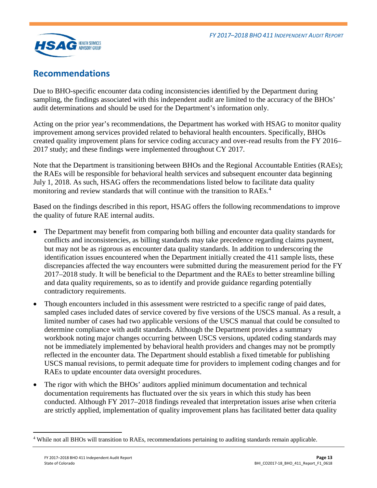

## <span id="page-14-0"></span>**Recommendations**

Due to BHO-specific encounter data coding inconsistencies identified by the Department during sampling, the findings associated with this independent audit are limited to the accuracy of the BHOs' audit determinations and should be used for the Department's information only.

Acting on the prior year's recommendations, the Department has worked with HSAG to monitor quality improvement among services provided related to behavioral health encounters. Specifically, BHOs created quality improvement plans for service coding accuracy and over-read results from the FY 2016– 2017 study; and these findings were implemented throughout CY 2017.

Note that the Department is transitioning between BHOs and the Regional Accountable Entities (RAEs); the RAEs will be responsible for behavioral health services and subsequent encounter data beginning July 1, 2018. As such, HSAG offers the recommendations listed below to facilitate data quality monitoring and review standards that will continue with the transition to RAEs.<sup>[4](#page-14-1)</sup>

Based on the findings described in this report, HSAG offers the following recommendations to improve the quality of future RAE internal audits.

- The Department may benefit from comparing both billing and encounter data quality standards for conflicts and inconsistencies, as billing standards may take precedence regarding claims payment, but may not be as rigorous as encounter data quality standards. In addition to underscoring the identification issues encountered when the Department initially created the 411 sample lists, these discrepancies affected the way encounters were submitted during the measurement period for the FY 2017–2018 study. It will be beneficial to the Department and the RAEs to better streamline billing and data quality requirements, so as to identify and provide guidance regarding potentially contradictory requirements.
- Though encounters included in this assessment were restricted to a specific range of paid dates, sampled cases included dates of service covered by five versions of the USCS manual. As a result, a limited number of cases had two applicable versions of the USCS manual that could be consulted to determine compliance with audit standards. Although the Department provides a summary workbook noting major changes occurring between USCS versions, updated coding standards may not be immediately implemented by behavioral health providers and changes may not be promptly reflected in the encounter data. The Department should establish a fixed timetable for publishing USCS manual revisions, to permit adequate time for providers to implement coding changes and for RAEs to update encounter data oversight procedures.
- The rigor with which the BHOs' auditors applied minimum documentation and technical documentation requirements has fluctuated over the six years in which this study has been conducted. Although FY 2017–2018 findings revealed that interpretation issues arise when criteria are strictly applied, implementation of quality improvement plans has facilitated better data quality

<span id="page-14-1"></span> <sup>4</sup> While not all BHOs will transition to RAEs, recommendations pertaining to auditing standards remain applicable.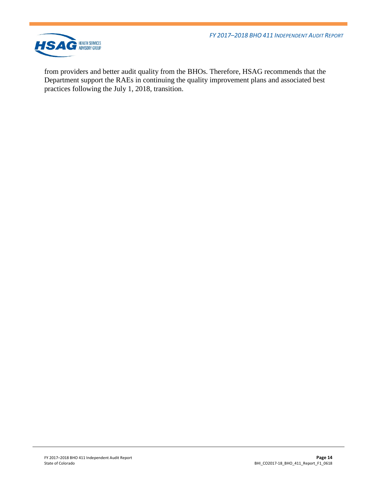*FY 2017–2018 BHO 411 INDEPENDENT AUDIT REPORT*



from providers and better audit quality from the BHOs. Therefore, HSAG recommends that the Department support the RAEs in continuing the quality improvement plans and associated best practices following the July 1, 2018, transition.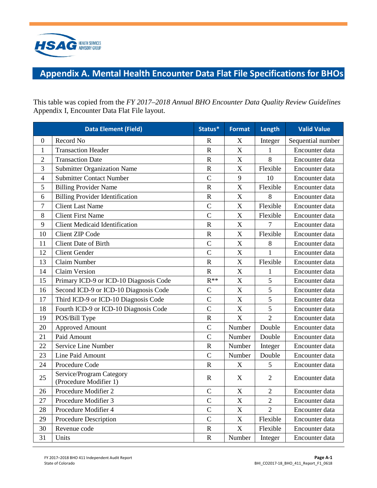

# <span id="page-16-0"></span>**Appendix A. Mental Health Encounter Data Flat File Specifications for BHOs**

This table was copied from the *FY 2017–2018 Annual BHO Encounter Data Quality Review Guidelines*  Appendix I, Encounter Data Flat File layout.

|                  | <b>Data Element (Field)</b>                        | Status*               | <b>Format</b>             | Length         | <b>Valid Value</b> |
|------------------|----------------------------------------------------|-----------------------|---------------------------|----------------|--------------------|
| $\boldsymbol{0}$ | Record No                                          | R                     | $\boldsymbol{X}$          | Integer        | Sequential number  |
| $\mathbf{1}$     | <b>Transaction Header</b>                          | $\mathbf R$           | X                         | $\mathbf{1}$   | Encounter data     |
| $\overline{2}$   | <b>Transaction Date</b>                            | ${\bf R}$             | $\mathbf X$               | 8              | Encounter data     |
| 3                | <b>Submitter Organization Name</b>                 | $\mathbf R$           | $\mathbf X$               | Flexible       | Encounter data     |
| $\overline{4}$   | <b>Submitter Contact Number</b>                    | $\overline{C}$        | 9                         | 10             | Encounter data     |
| 5                | <b>Billing Provider Name</b>                       | $\mathbf R$           | X                         | Flexible       | Encounter data     |
| 6                | <b>Billing Provider Identification</b>             | $\mathbf R$           | $\boldsymbol{\mathrm{X}}$ | 8              | Encounter data     |
| 7                | <b>Client Last Name</b>                            | $\mathcal{C}$         | X                         | Flexible       | Encounter data     |
| 8                | <b>Client First Name</b>                           | $\overline{C}$        | $\overline{X}$            | Flexible       | Encounter data     |
| 9                | <b>Client Medicaid Identification</b>              | $\mathbf R$           | $\mathbf X$               | 7              | Encounter data     |
| 10               | <b>Client ZIP Code</b>                             | $\mathbf R$           | $\overline{X}$            | Flexible       | Encounter data     |
| 11               | <b>Client Date of Birth</b>                        | $\overline{C}$        | $\overline{X}$            | 8              | Encounter data     |
| 12               | <b>Client Gender</b>                               | $\overline{C}$        | $\boldsymbol{\mathrm{X}}$ | $\mathbf{1}$   | Encounter data     |
| 13               | Claim Number                                       | $\mathbf R$           | $\mathbf X$               | Flexible       | Encounter data     |
| 14               | Claim Version                                      | ${\bf R}$             | $\bar{X}$                 | 1              | Encounter data     |
| 15               | Primary ICD-9 or ICD-10 Diagnosis Code             | $R^{**}$              | $\boldsymbol{\mathrm{X}}$ | 5              | Encounter data     |
| 16               | Second ICD-9 or ICD-10 Diagnosis Code              | $\mathsf{C}$          | $\boldsymbol{\mathrm{X}}$ | 5              | Encounter data     |
| 17               | Third ICD-9 or ICD-10 Diagnosis Code               | $\overline{C}$        | X                         | $\overline{5}$ | Encounter data     |
| 18               | Fourth ICD-9 or ICD-10 Diagnosis Code              | $\overline{C}$        | $\mathbf X$               | 5              | Encounter data     |
| 19               | POS/Bill Type                                      | $\mathbf R$           | X                         | $\overline{2}$ | Encounter data     |
| 20               | <b>Approved Amount</b>                             | $\mathcal{C}$         | Number                    | Double         | Encounter data     |
| 21               | Paid Amount                                        | $\mathcal{C}$         | Number                    | Double         | Encounter data     |
| 22               | Service Line Number                                | $\mathbf R$           | Number                    | Integer        | Encounter data     |
| 23               | Line Paid Amount                                   | $\overline{C}$        | Number                    | Double         | Encounter data     |
| 24               | Procedure Code                                     | $\mathbf R$           | X                         | 5              | Encounter data     |
| 25               | Service/Program Category<br>(Procedure Modifier 1) | $\mathbf R$           | X                         | $\overline{2}$ | Encounter data     |
| 26               | Procedure Modifier 2                               | $\overline{C}$        | $\mathbf X$               | $\overline{2}$ | Encounter data     |
| 27               | Procedure Modifier 3                               | $\overline{C}$        | X                         | $\overline{2}$ | Encounter data     |
| 28               | Procedure Modifier 4                               | $\mathcal{C}$         | X                         | $\overline{2}$ | Encounter data     |
| 29               | Procedure Description                              | $\overline{C}$        | X                         | Flexible       | Encounter data     |
| 30               | Revenue code                                       | $\mathbf R$           | $\boldsymbol{\mathrm{X}}$ | Flexible       | Encounter data     |
| 31               | Units                                              | $\overline{\text{R}}$ | Number                    | Integer        | Encounter data     |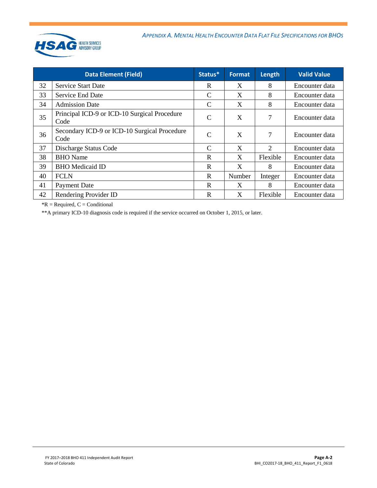

| <b>Data Element (Field)</b> |                                                      | Status*       | <b>Format</b> | Length                      | <b>Valid Value</b> |
|-----------------------------|------------------------------------------------------|---------------|---------------|-----------------------------|--------------------|
| 32                          | <b>Service Start Date</b>                            | R             | X             | 8                           | Encounter data     |
| 33                          | Service End Date                                     | C             | X             | 8                           | Encounter data     |
| 34                          | <b>Admission Date</b>                                | C             | X             | 8                           | Encounter data     |
| 35                          | Principal ICD-9 or ICD-10 Surgical Procedure<br>Code | $\mathcal{C}$ | X             | 7                           | Encounter data     |
| 36                          | Secondary ICD-9 or ICD-10 Surgical Procedure<br>Code | $\mathcal{C}$ | X             | 7                           | Encounter data     |
| 37                          | Discharge Status Code                                | $\mathcal{C}$ | X             | $\mathcal{D}_{\mathcal{L}}$ | Encounter data     |
| 38                          | <b>BHO</b> Name                                      | $\mathbf R$   | X             | Flexible                    | Encounter data     |
| 39                          | <b>BHO</b> Medicaid ID                               | $\mathbf R$   | X             | 8                           | Encounter data     |
| 40                          | <b>FCLN</b>                                          | $\mathbf R$   | Number        | Integer                     | Encounter data     |
| 41                          | <b>Payment Date</b>                                  | R             | X             | 8                           | Encounter data     |
| 42                          | Rendering Provider ID                                | R             | X             | Flexible                    | Encounter data     |

 $*R$  = Required,  $C$  = Conditional

\*\*A primary ICD-10 diagnosis code is required if the service occurred on October 1, 2015, or later.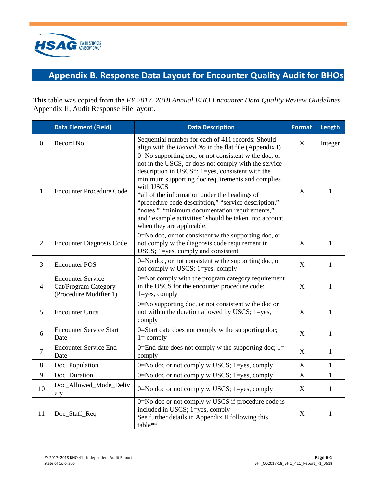

# <span id="page-18-0"></span>**Appendix B. Response Data Layout for Encounter Quality Audit for BHOs**

This table was copied from the *FY 2017–2018 Annual BHO Encounter Data Quality Review Guidelines*  Appendix II, Audit Response File layout.

|                | <b>Data Element (Field)</b>                                                                                                                                                                                                                                                                                                                                                                                                                                                                                                | <b>Data Description</b>                                                                                                                               | <b>Format</b> | Length       |
|----------------|----------------------------------------------------------------------------------------------------------------------------------------------------------------------------------------------------------------------------------------------------------------------------------------------------------------------------------------------------------------------------------------------------------------------------------------------------------------------------------------------------------------------------|-------------------------------------------------------------------------------------------------------------------------------------------------------|---------------|--------------|
| $\mathbf{0}$   | Record No                                                                                                                                                                                                                                                                                                                                                                                                                                                                                                                  | Sequential number for each of 411 records; Should<br>align with the <i>Record No</i> in the flat file (Appendix I)                                    | X             | Integer      |
| $\mathbf{1}$   | 0=No supporting doc, or not consistent w the doc, or<br>not in the USCS, or does not comply with the service<br>description in USCS*; $1 = yes$ , consistent with the<br>minimum supporting doc requirements and complies<br>with USCS<br><b>Encounter Procedure Code</b><br>*all of the information under the headings of<br>"procedure code description," "service description,"<br>"notes," "minimum documentation requirements,"<br>and "example activities" should be taken into account<br>when they are applicable. |                                                                                                                                                       | $\mathbf X$   | 1            |
| $\overline{2}$ | <b>Encounter Diagnosis Code</b>                                                                                                                                                                                                                                                                                                                                                                                                                                                                                            | 0=No doc, or not consistent w the supporting doc, or<br>not comply w the diagnosis code requirement in<br>USCS; 1=yes, comply and consistent          |               | $\mathbf{1}$ |
| 3              | <b>Encounter POS</b>                                                                                                                                                                                                                                                                                                                                                                                                                                                                                                       | 0=No doc, or not consistent w the supporting doc, or<br>not comply w USCS; 1=yes, comply                                                              | X             | $\mathbf{1}$ |
| $\overline{4}$ | <b>Encounter Service</b><br>Cat/Program Category<br>(Procedure Modifier 1)                                                                                                                                                                                                                                                                                                                                                                                                                                                 | 0=Not comply with the program category requirement<br>in the USCS for the encounter procedure code;<br>$1 = yes$ , comply                             | X             | $\mathbf{1}$ |
| 5              | <b>Encounter Units</b>                                                                                                                                                                                                                                                                                                                                                                                                                                                                                                     | 0=No supporting doc, or not consistent w the doc or<br>not within the duration allowed by USCS; 1=yes,<br>comply                                      | X             | $\mathbf{1}$ |
| 6              | <b>Encounter Service Start</b><br>Date                                                                                                                                                                                                                                                                                                                                                                                                                                                                                     | 0=Start date does not comply w the supporting doc;<br>$l = \text{comply}$                                                                             | X             | $\mathbf{1}$ |
| $\overline{7}$ | <b>Encounter Service End</b><br>Date                                                                                                                                                                                                                                                                                                                                                                                                                                                                                       | 0=End date does not comply w the supporting doc; $1=$<br>comply                                                                                       | X             | $\mathbf{1}$ |
| 8              | Doc_Population                                                                                                                                                                                                                                                                                                                                                                                                                                                                                                             | 0=No doc or not comply w USCS; 1=yes, comply                                                                                                          | $\mathbf X$   | $\mathbf{1}$ |
| 9              | Doc_Duration                                                                                                                                                                                                                                                                                                                                                                                                                                                                                                               | $0 = No$ doc or not comply w USCS; $1 = yes$ , comply                                                                                                 | X             | $\mathbf{1}$ |
| 10             | Doc_Allowed_Mode_Deliv<br>ery                                                                                                                                                                                                                                                                                                                                                                                                                                                                                              | 0=No doc or not comply w USCS; 1=yes, comply                                                                                                          | $\mathbf X$   | $\mathbf{1}$ |
| 11             | Doc_Staff_Req                                                                                                                                                                                                                                                                                                                                                                                                                                                                                                              | 0=No doc or not comply w USCS if procedure code is<br>included in USCS; 1=yes, comply<br>See further details in Appendix II following this<br>table** | X             | $\mathbf{1}$ |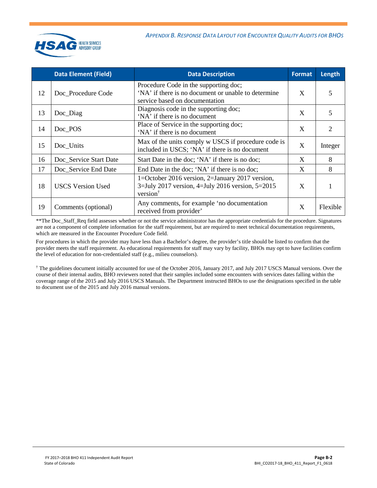

|    | <b>Data Element (Field)</b> | <b>Data Description</b>                                                                                                         | <b>Format</b> | Length   |
|----|-----------------------------|---------------------------------------------------------------------------------------------------------------------------------|---------------|----------|
| 12 | Doc Procedure Code          | Procedure Code in the supporting doc;<br>'NA' if there is no document or unable to determine<br>service based on documentation  | X             | 5        |
| 13 | Doc_Diag                    | Diagnosis code in the supporting doc;<br>'NA' if there is no document                                                           | X             | 5        |
| 14 | Doc_POS                     | Place of Service in the supporting doc;<br>'NA' if there is no document                                                         | X             | 2        |
| 15 | Doc_Units                   | Max of the units comply w USCS if procedure code is<br>included in USCS; 'NA' if there is no document                           | X             | Integer  |
| 16 | Doc_Service Start Date      | Start Date in the doc; 'NA' if there is no doc;                                                                                 | X             | 8        |
| 17 | Doc_Service End Date        | End Date in the doc; 'NA' if there is no doc;                                                                                   | X             | 8        |
| 18 | <b>USCS Version Used</b>    | 1=October 2016 version, 2=January 2017 version,<br>$3 =$ July 2017 version, 4=July 2016 version, 5=2015<br>version <sup>†</sup> | X             |          |
| 19 | Comments (optional)         | Any comments, for example 'no documentation<br>received from provider'                                                          | X             | Flexible |

\*\*The Doc\_Staff\_Req field assesses whether or not the service administrator has the appropriate credentials for the procedure. Signatures are not a component of complete information for the staff requirement, but are required to meet technical documentation requirements, which are measured in the Encounter Procedure Code field.

For procedures in which the provider may have less than a Bachelor's degree, the provider's title should be listed to confirm that the provider meets the staff requirement. As educational requirements for staff may vary by facility, BHOs may opt to have facilities confirm the level of education for non-credentialed staff (e.g., milieu counselors).

† The guidelines document initially accounted for use of the October 2016, January 2017, and July 2017 USCS Manual versions. Over the course of their internal audits, BHO reviewers noted that their samples included some encounters with services dates falling within the coverage range of the 2015 and July 2016 USCS Manuals. The Department instructed BHOs to use the designations specified in the table to document use of the 2015 and July 2016 manual versions.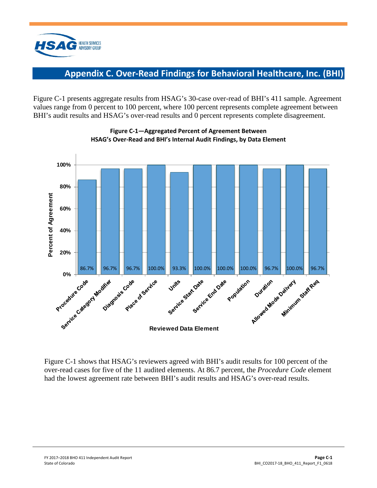

## **Appendix C. Over-Read Findings for Behavioral Healthcare, Inc. (BHI)**

<span id="page-20-0"></span>Figure C-1 presents aggregate results from HSAG's 30-case over-read of BHI's 411 sample. Agreement values range from 0 percent to 100 percent, where 100 percent represents complete agreement between BHI's audit results and HSAG's over-read results and 0 percent represents complete disagreement.



**Figure C-1—Aggregated Percent of Agreement Between HSAG's Over-Read and BHI's Internal Audit Findings, by Data Element**

Figure C-1 shows that HSAG's reviewers agreed with BHI's audit results for 100 percent of the over-read cases for five of the 11 audited elements. At 86.7 percent, the *Procedure Code* element had the lowest agreement rate between BHI's audit results and HSAG's over-read results.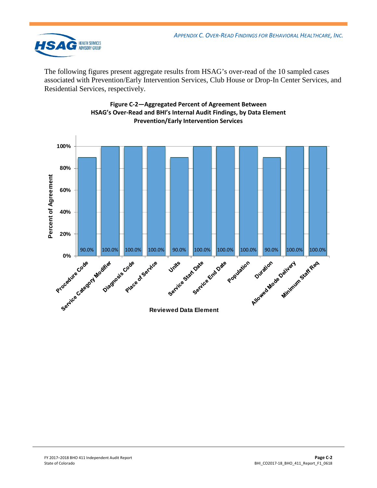

The following figures present aggregate results from HSAG's over-read of the 10 sampled cases associated with Prevention/Early Intervention Services, Club House or Drop-In Center Services, and Residential Services, respectively.



#### **Figure C-2—Aggregated Percent of Agreement Between HSAG's Over-Read and BHI's Internal Audit Findings, by Data Element Prevention/Early Intervention Services**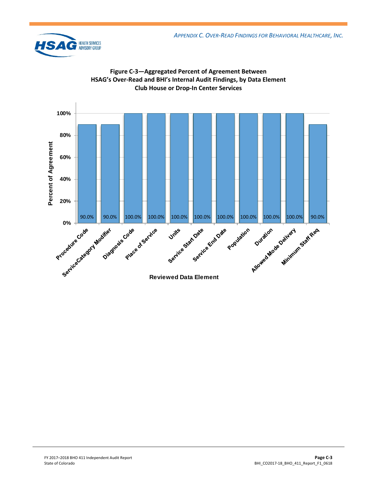



**Figure C-3—Aggregated Percent of Agreement Between**